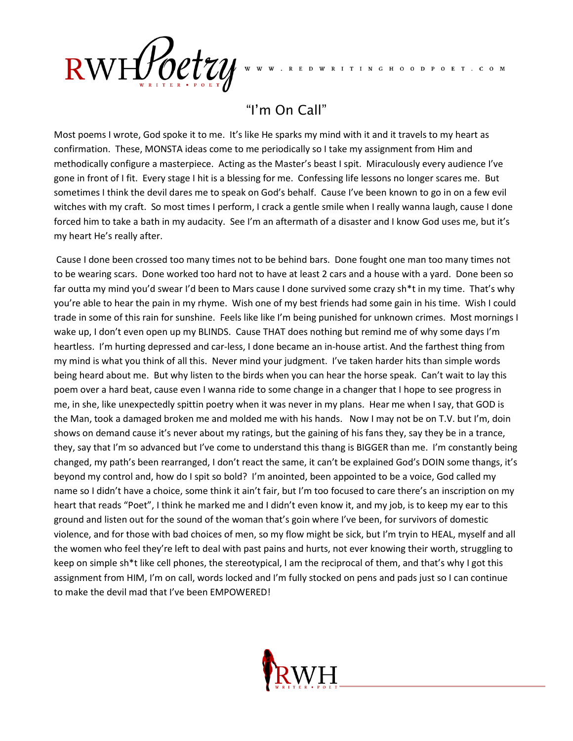

R E D W R I T I N G H O O D P O E T . C O M

## "I'm On Call"

Most poems I wrote, God spoke it to me. It's like He sparks my mind with it and it travels to my heart as confirmation. These, MONSTA ideas come to me periodically so I take my assignment from Him and methodically configure a masterpiece. Acting as the Master's beast I spit. Miraculously every audience I've gone in front of I fit. Every stage I hit is a blessing for me. Confessing life lessons no longer scares me. But sometimes I think the devil dares me to speak on God's behalf. Cause I've been known to go in on a few evil witches with my craft. So most times I perform, I crack a gentle smile when I really wanna laugh, cause I done forced him to take a bath in my audacity. See I'm an aftermath of a disaster and I know God uses me, but it's my heart He's really after.

Cause I done been crossed too many times not to be behind bars. Done fought one man too many times not to be wearing scars. Done worked too hard not to have at least 2 cars and a house with a yard. Done been so far outta my mind you'd swear I'd been to Mars cause I done survived some crazy sh\*t in my time. That's why you're able to hear the pain in my rhyme. Wish one of my best friends had some gain in his time. Wish I could trade in some of this rain for sunshine. Feels like like I'm being punished for unknown crimes. Most mornings I wake up, I don't even open up my BLINDS. Cause THAT does nothing but remind me of why some days I'm heartless. I'm hurting depressed and car-less, I done became an in-house artist. And the farthest thing from my mind is what you think of all this. Never mind your judgment. I've taken harder hits than simple words being heard about me. But why listen to the birds when you can hear the horse speak. Can't wait to lay this poem over a hard beat, cause even I wanna ride to some change in a changer that I hope to see progress in me, in she, like unexpectedly spittin poetry when it was never in my plans. Hear me when I say, that GOD is the Man, took a damaged broken me and molded me with his hands. Now I may not be on T.V. but I'm, doin shows on demand cause it's never about my ratings, but the gaining of his fans they, say they be in a trance, they, say that I'm so advanced but I've come to understand this thang is BIGGER than me. I'm constantly being changed, my path's been rearranged, I don't react the same, it can't be explained God's DOIN some thangs, it's beyond my control and, how do I spit so bold? I'm anointed, been appointed to be a voice, God called my name so I didn't have a choice, some think it ain't fair, but I'm too focused to care there's an inscription on my heart that reads "Poet", I think he marked me and I didn't even know it, and my job, is to keep my ear to this ground and listen out for the sound of the woman that's goin where I've been, for survivors of domestic violence, and for those with bad choices of men, so my flow might be sick, but I'm tryin to HEAL, myself and all the women who feel they're left to deal with past pains and hurts, not ever knowing their worth, struggling to keep on simple sh\*t like cell phones, the stereotypical, I am the reciprocal of them, and that's why I got this assignment from HIM, I'm on call, words locked and I'm fully stocked on pens and pads just so I can continue to make the devil mad that I've been EMPOWERED!